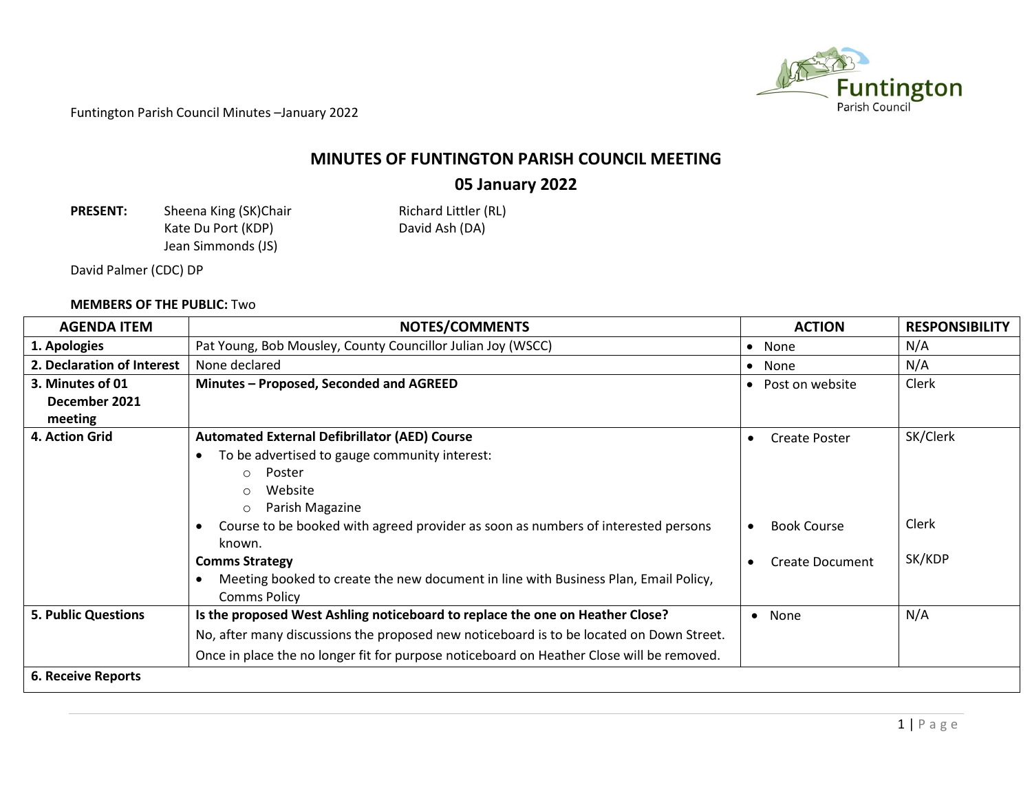

## **MINUTES OF FUNTINGTON PARISH COUNCIL MEETING**

## **05 January 2022**

**PRESENT:** Sheena King (SK)Chair Richard Littler (RL)<br>Kate Du Port (KDP) Richard Ash (DA) Kate Du Port (KDP) Jean Simmonds (JS)

David Palmer (CDC) DP

## **MEMBERS OF THE PUBLIC:** Two

| <b>AGENDA ITEM</b>         | <b>NOTES/COMMENTS</b>                                                                     | <b>ACTION</b>                | <b>RESPONSIBILITY</b> |
|----------------------------|-------------------------------------------------------------------------------------------|------------------------------|-----------------------|
| 1. Apologies               | Pat Young, Bob Mousley, County Councillor Julian Joy (WSCC)                               | • None                       | N/A                   |
| 2. Declaration of Interest | None declared                                                                             | • None                       | N/A                   |
| 3. Minutes of 01           | Minutes - Proposed, Seconded and AGREED                                                   | Post on website<br>$\bullet$ | Clerk                 |
| December 2021              |                                                                                           |                              |                       |
| meeting                    |                                                                                           |                              |                       |
| 4. Action Grid             | <b>Automated External Defibrillator (AED) Course</b>                                      | Create Poster<br>$\bullet$   | SK/Clerk              |
|                            | To be advertised to gauge community interest:<br>$\bullet$                                |                              |                       |
|                            | Poster<br>$\circ$                                                                         |                              |                       |
|                            | Website<br>$\circ$                                                                        |                              |                       |
|                            | Parish Magazine<br>$\circ$                                                                |                              |                       |
|                            | Course to be booked with agreed provider as soon as numbers of interested persons         | <b>Book Course</b>           | Clerk                 |
|                            | known.                                                                                    |                              |                       |
|                            | <b>Comms Strategy</b>                                                                     | <b>Create Document</b>       | SK/KDP                |
|                            | Meeting booked to create the new document in line with Business Plan, Email Policy,       |                              |                       |
|                            | <b>Comms Policy</b>                                                                       |                              |                       |
| <b>5. Public Questions</b> | Is the proposed West Ashling noticeboard to replace the one on Heather Close?             | • None                       | N/A                   |
|                            | No, after many discussions the proposed new noticeboard is to be located on Down Street.  |                              |                       |
|                            | Once in place the no longer fit for purpose noticeboard on Heather Close will be removed. |                              |                       |
| <b>6. Receive Reports</b>  |                                                                                           |                              |                       |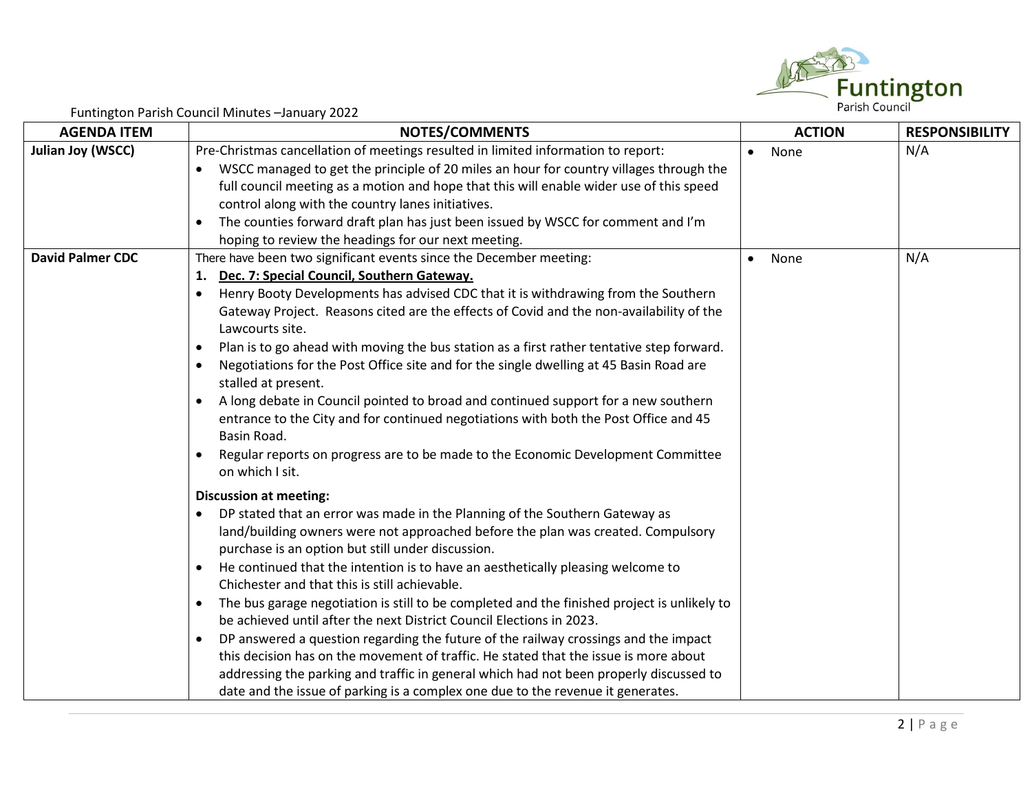

| <b>AGENDA ITEM</b>      | <b>NOTES/COMMENTS</b>                                                                                                      | <b>ACTION</b>     | <b>RESPONSIBILITY</b> |
|-------------------------|----------------------------------------------------------------------------------------------------------------------------|-------------------|-----------------------|
| Julian Joy (WSCC)       | Pre-Christmas cancellation of meetings resulted in limited information to report:                                          | None<br>$\bullet$ | N/A                   |
|                         | WSCC managed to get the principle of 20 miles an hour for country villages through the                                     |                   |                       |
|                         | full council meeting as a motion and hope that this will enable wider use of this speed                                    |                   |                       |
|                         | control along with the country lanes initiatives.                                                                          |                   |                       |
|                         | The counties forward draft plan has just been issued by WSCC for comment and I'm<br>$\bullet$                              |                   |                       |
|                         | hoping to review the headings for our next meeting.                                                                        |                   |                       |
| <b>David Palmer CDC</b> | There have been two significant events since the December meeting:                                                         | None<br>$\bullet$ | N/A                   |
|                         | Dec. 7: Special Council, Southern Gateway.<br>1.                                                                           |                   |                       |
|                         | Henry Booty Developments has advised CDC that it is withdrawing from the Southern<br>$\bullet$                             |                   |                       |
|                         | Gateway Project. Reasons cited are the effects of Covid and the non-availability of the                                    |                   |                       |
|                         | Lawcourts site.                                                                                                            |                   |                       |
|                         | Plan is to go ahead with moving the bus station as a first rather tentative step forward.<br>$\bullet$                     |                   |                       |
|                         | Negotiations for the Post Office site and for the single dwelling at 45 Basin Road are<br>$\bullet$<br>stalled at present. |                   |                       |
|                         | A long debate in Council pointed to broad and continued support for a new southern<br>$\bullet$                            |                   |                       |
|                         | entrance to the City and for continued negotiations with both the Post Office and 45                                       |                   |                       |
|                         | Basin Road.                                                                                                                |                   |                       |
|                         | Regular reports on progress are to be made to the Economic Development Committee                                           |                   |                       |
|                         | on which I sit.                                                                                                            |                   |                       |
|                         | <b>Discussion at meeting:</b>                                                                                              |                   |                       |
|                         | DP stated that an error was made in the Planning of the Southern Gateway as<br>$\bullet$                                   |                   |                       |
|                         | land/building owners were not approached before the plan was created. Compulsory                                           |                   |                       |
|                         | purchase is an option but still under discussion.                                                                          |                   |                       |
|                         | He continued that the intention is to have an aesthetically pleasing welcome to<br>$\bullet$                               |                   |                       |
|                         | Chichester and that this is still achievable.                                                                              |                   |                       |
|                         | The bus garage negotiation is still to be completed and the finished project is unlikely to<br>$\bullet$                   |                   |                       |
|                         | be achieved until after the next District Council Elections in 2023.                                                       |                   |                       |
|                         | DP answered a question regarding the future of the railway crossings and the impact<br>$\bullet$                           |                   |                       |
|                         | this decision has on the movement of traffic. He stated that the issue is more about                                       |                   |                       |
|                         | addressing the parking and traffic in general which had not been properly discussed to                                     |                   |                       |
|                         | date and the issue of parking is a complex one due to the revenue it generates.                                            |                   |                       |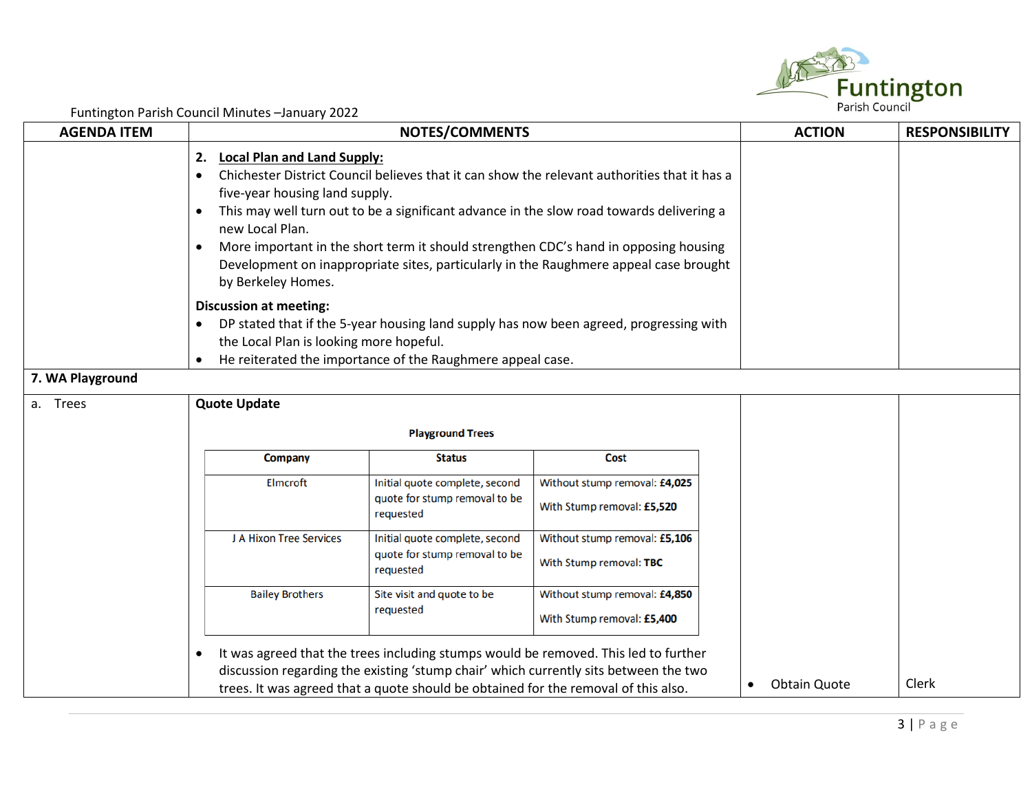

| <b>AGENDA ITEM</b> | $\frac{1}{2}$ and $\frac{1}{2}$ and $\frac{1}{2}$ and $\frac{1}{2}$ and $\frac{1}{2}$ and $\frac{1}{2}$ and $\frac{1}{2}$ and $\frac{1}{2}$ and $\frac{1}{2}$                                                                                                                                                                                                                                                                                                                                                              | <b>ACTION</b>                           | <b>RESPONSIBILITY</b>                                       |  |  |  |  |  |  |
|--------------------|----------------------------------------------------------------------------------------------------------------------------------------------------------------------------------------------------------------------------------------------------------------------------------------------------------------------------------------------------------------------------------------------------------------------------------------------------------------------------------------------------------------------------|-----------------------------------------|-------------------------------------------------------------|--|--|--|--|--|--|
|                    | <b>Local Plan and Land Supply:</b><br>2.<br>Chichester District Council believes that it can show the relevant authorities that it has a<br>$\bullet$<br>five-year housing land supply.<br>This may well turn out to be a significant advance in the slow road towards delivering a<br>$\bullet$<br>new Local Plan.<br>More important in the short term it should strengthen CDC's hand in opposing housing<br>Development on inappropriate sites, particularly in the Raughmere appeal case brought<br>by Berkeley Homes. |                                         |                                                             |  |  |  |  |  |  |
| 7. WA Playground   | <b>Discussion at meeting:</b><br>DP stated that if the 5-year housing land supply has now been agreed, progressing with<br>$\bullet$<br>the Local Plan is looking more hopeful.<br>He reiterated the importance of the Raughmere appeal case.<br>$\bullet$                                                                                                                                                                                                                                                                 |                                         |                                                             |  |  |  |  |  |  |
| a. Trees           | <b>Quote Update</b>                                                                                                                                                                                                                                                                                                                                                                                                                                                                                                        |                                         |                                                             |  |  |  |  |  |  |
|                    |                                                                                                                                                                                                                                                                                                                                                                                                                                                                                                                            | <b>Playground Trees</b>                 |                                                             |  |  |  |  |  |  |
|                    | <b>Company</b>                                                                                                                                                                                                                                                                                                                                                                                                                                                                                                             |                                         |                                                             |  |  |  |  |  |  |
|                    | Elmcroft                                                                                                                                                                                                                                                                                                                                                                                                                                                                                                                   |                                         |                                                             |  |  |  |  |  |  |
|                    | J A Hixon Tree Services                                                                                                                                                                                                                                                                                                                                                                                                                                                                                                    |                                         |                                                             |  |  |  |  |  |  |
|                    | <b>Bailey Brothers</b>                                                                                                                                                                                                                                                                                                                                                                                                                                                                                                     | Site visit and quote to be<br>requested | Without stump removal: £4,850<br>With Stump removal: £5,400 |  |  |  |  |  |  |
|                    | It was agreed that the trees including stumps would be removed. This led to further<br>$\bullet$<br>discussion regarding the existing 'stump chair' which currently sits between the two<br>trees. It was agreed that a quote should be obtained for the removal of this also.                                                                                                                                                                                                                                             | <b>Obtain Quote</b>                     | Clerk                                                       |  |  |  |  |  |  |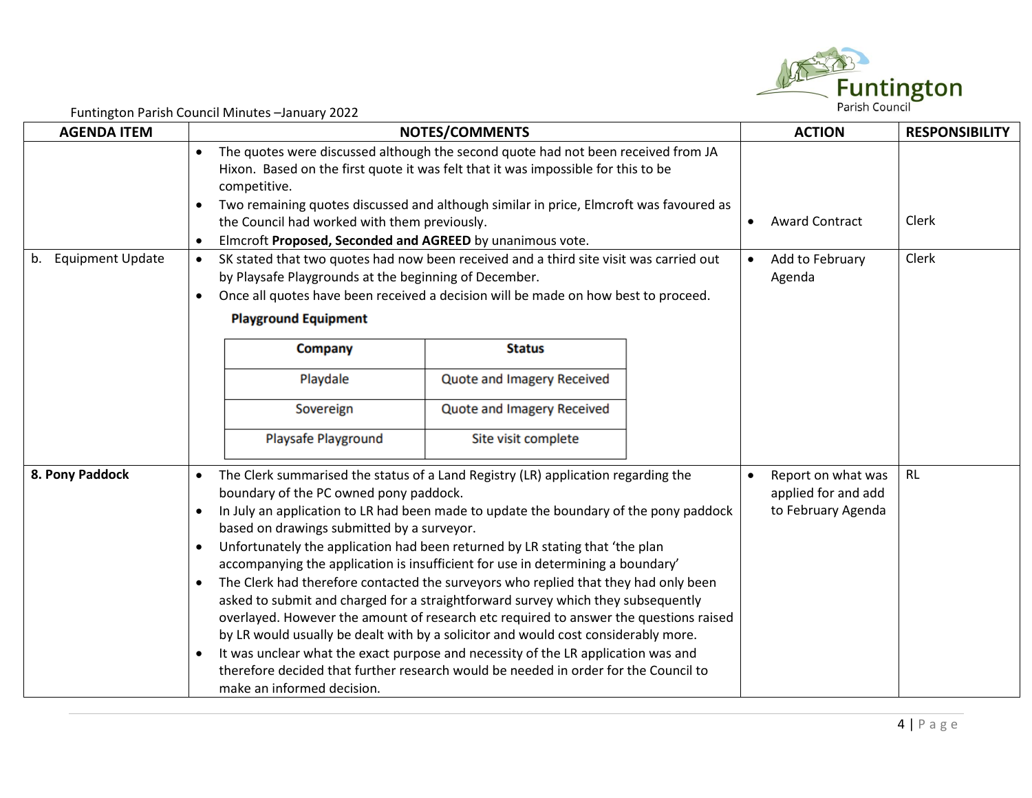

| <b>AGENDA ITEM</b>  | $\frac{1}{2}$ and $\frac{1}{2}$ and $\frac{1}{2}$ and $\frac{1}{2}$ and $\frac{1}{2}$ and $\frac{1}{2}$ and $\frac{1}{2}$ and $\frac{1}{2}$ and $\frac{1}{2}$ and $\frac{1}{2}$ and $\frac{1}{2}$ and $\frac{1}{2}$ and $\frac{1}{2}$ and $\frac{1}{2}$ and $\frac{1}{2}$ and $\frac{1}{2}$ a<br><b>NOTES/COMMENTS</b>                                                                                                                                                                                                                                                                                                                                                                                                                                                                                                                                                                                                                                                                                                                                                     | <b>ACTION</b>                                                   | <b>RESPONSIBILITY</b> |
|---------------------|----------------------------------------------------------------------------------------------------------------------------------------------------------------------------------------------------------------------------------------------------------------------------------------------------------------------------------------------------------------------------------------------------------------------------------------------------------------------------------------------------------------------------------------------------------------------------------------------------------------------------------------------------------------------------------------------------------------------------------------------------------------------------------------------------------------------------------------------------------------------------------------------------------------------------------------------------------------------------------------------------------------------------------------------------------------------------|-----------------------------------------------------------------|-----------------------|
|                     | The quotes were discussed although the second quote had not been received from JA<br>$\bullet$<br>Hixon. Based on the first quote it was felt that it was impossible for this to be<br>competitive.<br>Two remaining quotes discussed and although similar in price, Elmcroft was favoured as<br>$\bullet$<br>the Council had worked with them previously.<br>Elmcroft Proposed, Seconded and AGREED by unanimous vote.<br>$\bullet$                                                                                                                                                                                                                                                                                                                                                                                                                                                                                                                                                                                                                                       | <b>Award Contract</b><br>$\bullet$                              | Clerk                 |
| b. Equipment Update | SK stated that two quotes had now been received and a third site visit was carried out<br>$\bullet$<br>by Playsafe Playgrounds at the beginning of December.<br>Once all quotes have been received a decision will be made on how best to proceed.<br>$\bullet$<br><b>Playground Equipment</b>                                                                                                                                                                                                                                                                                                                                                                                                                                                                                                                                                                                                                                                                                                                                                                             | Add to February<br>$\bullet$<br>Agenda                          | Clerk                 |
|                     | <b>Status</b><br>Company<br>Playdale<br>Quote and Imagery Received<br>Sovereign<br>Quote and Imagery Received<br><b>Playsafe Playground</b><br>Site visit complete                                                                                                                                                                                                                                                                                                                                                                                                                                                                                                                                                                                                                                                                                                                                                                                                                                                                                                         |                                                                 |                       |
| 8. Pony Paddock     | The Clerk summarised the status of a Land Registry (LR) application regarding the<br>$\bullet$<br>boundary of the PC owned pony paddock.<br>In July an application to LR had been made to update the boundary of the pony paddock<br>$\bullet$<br>based on drawings submitted by a surveyor.<br>Unfortunately the application had been returned by LR stating that 'the plan<br>$\bullet$<br>accompanying the application is insufficient for use in determining a boundary'<br>The Clerk had therefore contacted the surveyors who replied that they had only been<br>$\bullet$<br>asked to submit and charged for a straightforward survey which they subsequently<br>overlayed. However the amount of research etc required to answer the questions raised<br>by LR would usually be dealt with by a solicitor and would cost considerably more.<br>It was unclear what the exact purpose and necessity of the LR application was and<br>$\bullet$<br>therefore decided that further research would be needed in order for the Council to<br>make an informed decision. | Report on what was<br>applied for and add<br>to February Agenda | <b>RL</b>             |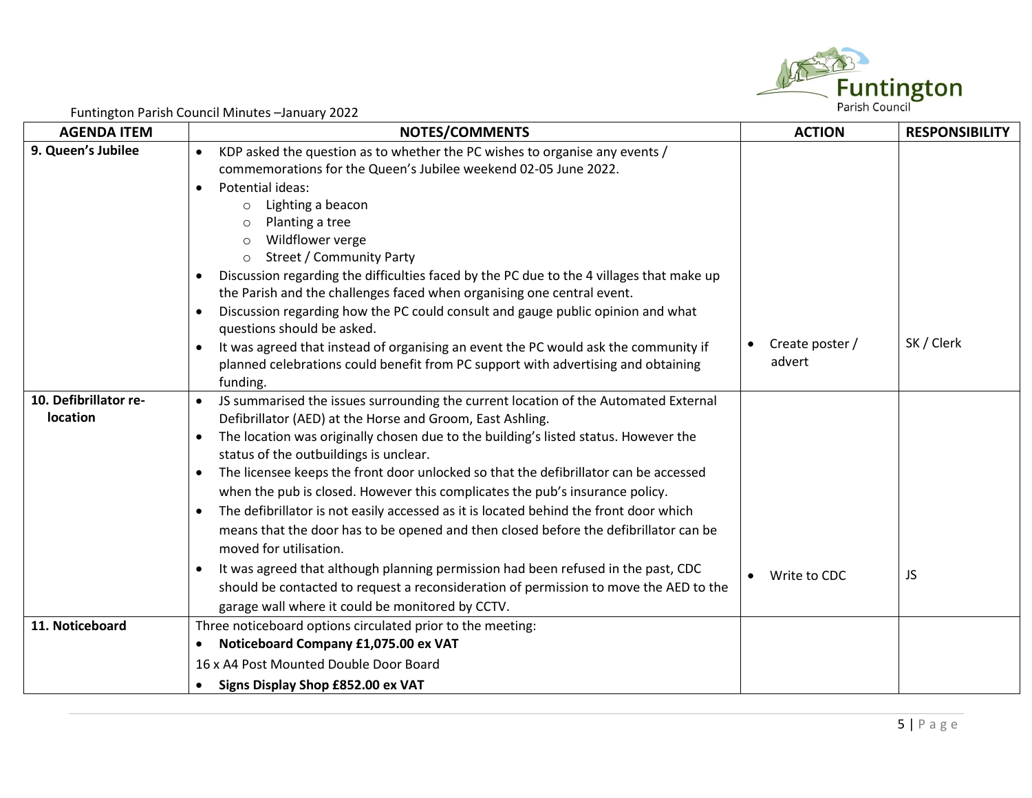

| <b>AGENDA ITEM</b>                | <b>NOTES/COMMENTS</b>                                                                                                                                                                                                                                                                                                                                                                                                                                                                                                                                                                                                                                                                                                                                                                                                                                                                                                                                                   | <b>ACTION</b>                          | <b>RESPONSIBILITY</b> |
|-----------------------------------|-------------------------------------------------------------------------------------------------------------------------------------------------------------------------------------------------------------------------------------------------------------------------------------------------------------------------------------------------------------------------------------------------------------------------------------------------------------------------------------------------------------------------------------------------------------------------------------------------------------------------------------------------------------------------------------------------------------------------------------------------------------------------------------------------------------------------------------------------------------------------------------------------------------------------------------------------------------------------|----------------------------------------|-----------------------|
| 9. Queen's Jubilee                | KDP asked the question as to whether the PC wishes to organise any events /<br>$\bullet$<br>commemorations for the Queen's Jubilee weekend 02-05 June 2022.<br>Potential ideas:<br>$\bullet$<br>Lighting a beacon<br>$\circ$<br>Planting a tree<br>O<br>Wildflower verge<br>$\circ$<br><b>Street / Community Party</b><br>$\circ$                                                                                                                                                                                                                                                                                                                                                                                                                                                                                                                                                                                                                                       |                                        |                       |
|                                   | Discussion regarding the difficulties faced by the PC due to the 4 villages that make up<br>$\bullet$<br>the Parish and the challenges faced when organising one central event.<br>Discussion regarding how the PC could consult and gauge public opinion and what<br>$\bullet$<br>questions should be asked.<br>It was agreed that instead of organising an event the PC would ask the community if<br>$\bullet$<br>planned celebrations could benefit from PC support with advertising and obtaining<br>funding.                                                                                                                                                                                                                                                                                                                                                                                                                                                      | Create poster /<br>$\bullet$<br>advert | SK / Clerk            |
| 10. Defibrillator re-<br>location | JS summarised the issues surrounding the current location of the Automated External<br>$\bullet$<br>Defibrillator (AED) at the Horse and Groom, East Ashling.<br>The location was originally chosen due to the building's listed status. However the<br>$\bullet$<br>status of the outbuildings is unclear.<br>The licensee keeps the front door unlocked so that the defibrillator can be accessed<br>$\bullet$<br>when the pub is closed. However this complicates the pub's insurance policy.<br>The defibrillator is not easily accessed as it is located behind the front door which<br>$\bullet$<br>means that the door has to be opened and then closed before the defibrillator can be<br>moved for utilisation.<br>It was agreed that although planning permission had been refused in the past, CDC<br>$\bullet$<br>should be contacted to request a reconsideration of permission to move the AED to the<br>garage wall where it could be monitored by CCTV. | Write to CDC                           | JS                    |
| 11. Noticeboard                   | Three noticeboard options circulated prior to the meeting:<br>Noticeboard Company £1,075.00 ex VAT<br>$\bullet$<br>16 x A4 Post Mounted Double Door Board<br>Signs Display Shop £852.00 ex VAT<br>$\bullet$                                                                                                                                                                                                                                                                                                                                                                                                                                                                                                                                                                                                                                                                                                                                                             |                                        |                       |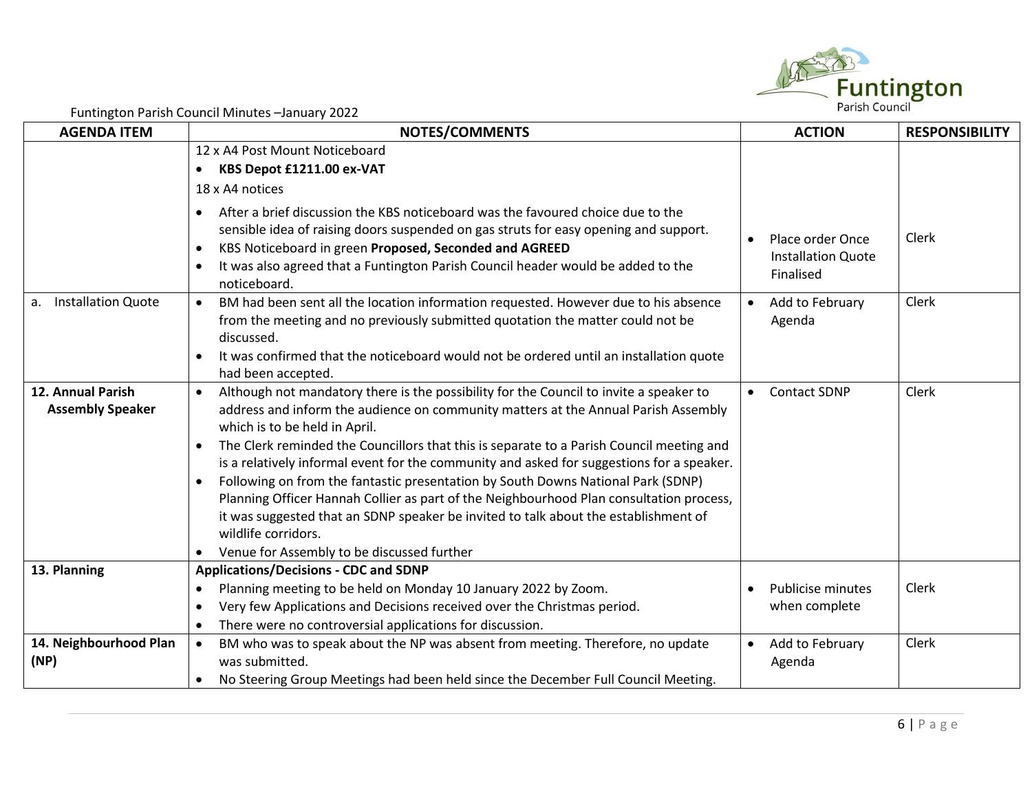

| <b>AGENDA ITEM</b>                           | i diffington i drish codifficit mindtes sandary 2022<br><b>NOTES/COMMENTS</b>                                                                                                                                                                                                                                                                                                                                                                                                                                                                                                                                                                                                                                                                                               | <b>ACTION</b>                                              | <b>RESPONSIBILITY</b> |
|----------------------------------------------|-----------------------------------------------------------------------------------------------------------------------------------------------------------------------------------------------------------------------------------------------------------------------------------------------------------------------------------------------------------------------------------------------------------------------------------------------------------------------------------------------------------------------------------------------------------------------------------------------------------------------------------------------------------------------------------------------------------------------------------------------------------------------------|------------------------------------------------------------|-----------------------|
|                                              | 12 x A4 Post Mount Noticeboard                                                                                                                                                                                                                                                                                                                                                                                                                                                                                                                                                                                                                                                                                                                                              |                                                            |                       |
|                                              | KBS Depot £1211.00 ex-VAT<br>$\bullet$                                                                                                                                                                                                                                                                                                                                                                                                                                                                                                                                                                                                                                                                                                                                      |                                                            |                       |
|                                              | 18 x A4 notices                                                                                                                                                                                                                                                                                                                                                                                                                                                                                                                                                                                                                                                                                                                                                             |                                                            |                       |
|                                              | After a brief discussion the KBS noticeboard was the favoured choice due to the<br>$\bullet$<br>sensible idea of raising doors suspended on gas struts for easy opening and support.<br>KBS Noticeboard in green Proposed, Seconded and AGREED<br>$\bullet$<br>It was also agreed that a Funtington Parish Council header would be added to the<br>$\bullet$<br>noticeboard.                                                                                                                                                                                                                                                                                                                                                                                                | Place order Once<br><b>Installation Quote</b><br>Finalised | Clerk                 |
| <b>Installation Quote</b><br>а.              | BM had been sent all the location information requested. However due to his absence<br>$\bullet$<br>from the meeting and no previously submitted quotation the matter could not be<br>discussed.<br>It was confirmed that the noticeboard would not be ordered until an installation quote<br>$\bullet$<br>had been accepted.                                                                                                                                                                                                                                                                                                                                                                                                                                               | Add to February<br>Agenda                                  | Clerk                 |
| 12. Annual Parish<br><b>Assembly Speaker</b> | Although not mandatory there is the possibility for the Council to invite a speaker to<br>address and inform the audience on community matters at the Annual Parish Assembly<br>which is to be held in April.<br>The Clerk reminded the Councillors that this is separate to a Parish Council meeting and<br>$\bullet$<br>is a relatively informal event for the community and asked for suggestions for a speaker.<br>Following on from the fantastic presentation by South Downs National Park (SDNP)<br>$\bullet$<br>Planning Officer Hannah Collier as part of the Neighbourhood Plan consultation process,<br>it was suggested that an SDNP speaker be invited to talk about the establishment of<br>wildlife corridors.<br>Venue for Assembly to be discussed further | <b>Contact SDNP</b>                                        | Clerk                 |
| 13. Planning                                 | <b>Applications/Decisions - CDC and SDNP</b>                                                                                                                                                                                                                                                                                                                                                                                                                                                                                                                                                                                                                                                                                                                                |                                                            |                       |
|                                              | Planning meeting to be held on Monday 10 January 2022 by Zoom.<br>$\bullet$<br>Very few Applications and Decisions received over the Christmas period.<br>$\bullet$<br>There were no controversial applications for discussion.<br>$\bullet$                                                                                                                                                                                                                                                                                                                                                                                                                                                                                                                                | <b>Publicise minutes</b><br>when complete                  | Clerk                 |
| 14. Neighbourhood Plan<br>(NP)               | BM who was to speak about the NP was absent from meeting. Therefore, no update<br>$\bullet$<br>was submitted.<br>No Steering Group Meetings had been held since the December Full Council Meeting.<br>$\bullet$                                                                                                                                                                                                                                                                                                                                                                                                                                                                                                                                                             | Add to February<br>Agenda                                  | Clerk                 |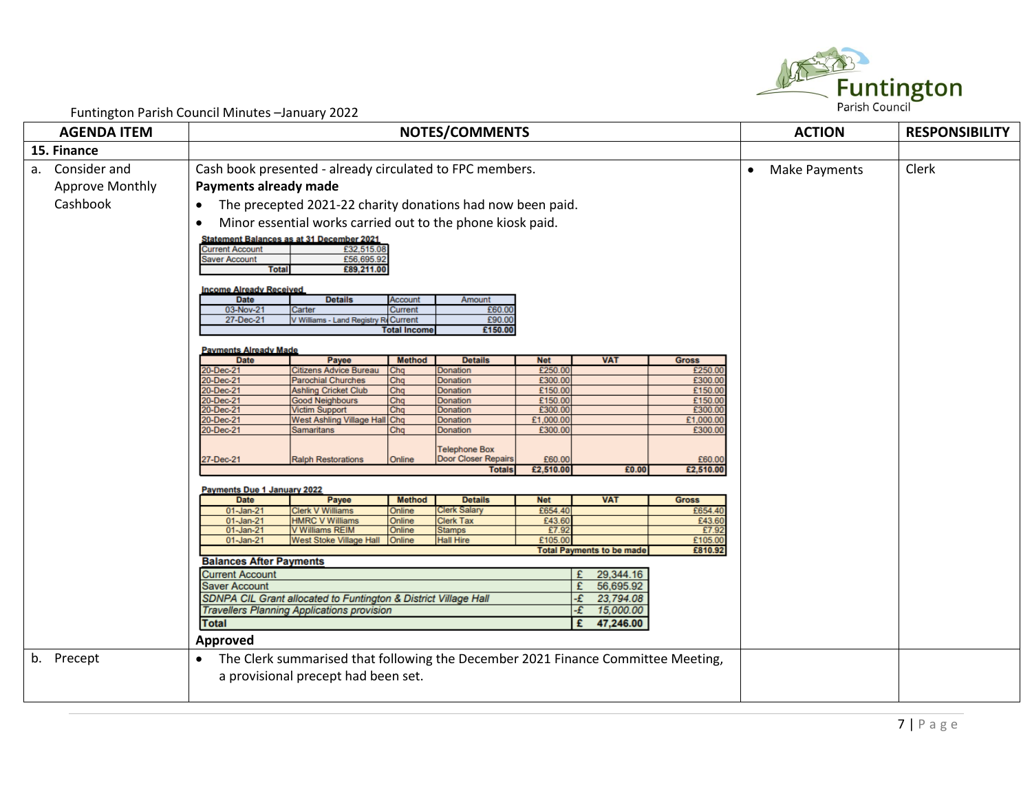

| <b>AGENDA ITEM</b>     | <b>NOTES/COMMENTS</b>                                                                                    |                                                                                                       |                     |                                                    |                    |                                  | <b>ACTION</b>      | <b>RESPONSIBILITY</b>      |       |
|------------------------|----------------------------------------------------------------------------------------------------------|-------------------------------------------------------------------------------------------------------|---------------------|----------------------------------------------------|--------------------|----------------------------------|--------------------|----------------------------|-------|
| 15. Finance            |                                                                                                          |                                                                                                       |                     |                                                    |                    |                                  |                    |                            |       |
| Consider and<br>а.     |                                                                                                          | Cash book presented - already circulated to FPC members.                                              |                     |                                                    |                    |                                  |                    | Make Payments<br>$\bullet$ | Clerk |
| <b>Approve Monthly</b> | Payments already made                                                                                    |                                                                                                       |                     |                                                    |                    |                                  |                    |                            |       |
| Cashbook               |                                                                                                          |                                                                                                       |                     |                                                    |                    |                                  |                    |                            |       |
|                        |                                                                                                          | The precepted 2021-22 charity donations had now been paid.                                            |                     |                                                    |                    |                                  |                    |                            |       |
|                        |                                                                                                          | Minor essential works carried out to the phone kiosk paid.                                            |                     |                                                    |                    |                                  |                    |                            |       |
|                        | <b>Current Account</b><br>Saver Account<br><b>Total</b><br><b>Income Already Received</b><br><b>Date</b> | Statement Balances as at 31 December 2021<br>£32,515.08<br>£56,695.92<br>£89,211.00<br><b>Details</b> | Account             | Amount                                             |                    |                                  |                    |                            |       |
|                        | 03-Nov-21                                                                                                | Carter                                                                                                | <b>Current</b>      | £60.00                                             |                    |                                  |                    |                            |       |
|                        | 27-Dec-21                                                                                                | V Williams - Land Registry ReCurrent                                                                  | <b>Total Income</b> | £90.00<br>£150.00                                  |                    |                                  |                    |                            |       |
|                        |                                                                                                          |                                                                                                       |                     |                                                    |                    |                                  |                    |                            |       |
|                        | <b>Payments Already Made</b><br><b>Date</b>                                                              | Payee                                                                                                 | <b>Method</b>       | <b>Details</b>                                     | Net                | <b>VAT</b>                       | <b>Gross</b>       |                            |       |
|                        | 20-Dec-21                                                                                                | <b>Citizens Advice Bureau</b>                                                                         | Chq                 | Donation                                           | £250.00            |                                  | £250.00            |                            |       |
|                        | 20-Dec-21                                                                                                | <b>Parochial Churches</b>                                                                             | Chq                 | Donation                                           | £300.00            |                                  | £300.00            |                            |       |
|                        | 20-Dec-21<br>20-Dec-21                                                                                   | <b>Ashling Cricket Club</b><br><b>Good Neighbours</b>                                                 | Chq<br>Chq          | Donation<br>Donation                               | £150.00<br>£150.00 |                                  | £150.00<br>£150.00 |                            |       |
|                        | 20-Dec-21                                                                                                | <b>Victim Support</b>                                                                                 | Chq                 | Donation                                           | £300.00            |                                  | £300.00            |                            |       |
|                        | 20-Dec-21                                                                                                | West Ashling Village Hall Chq                                                                         |                     | Donation                                           | £1,000.00          |                                  | £1,000.00          |                            |       |
|                        | 20-Dec-21                                                                                                | Samaritans                                                                                            | Chq                 | <b>Donation</b>                                    | £300.00            |                                  | £300.00            |                            |       |
|                        | 27-Dec-21                                                                                                | <b>Ralph Restorations</b>                                                                             | Online              | <b>Telephone Box</b><br><b>Door Closer Repairs</b> | £60.00             |                                  | £60.00             |                            |       |
|                        |                                                                                                          |                                                                                                       |                     | <b>Totals</b>                                      | £2,510.00          | £0.00                            | £2,510.00          |                            |       |
|                        | Payments Due 1 January 2022                                                                              |                                                                                                       |                     |                                                    |                    |                                  |                    |                            |       |
|                        | <b>Date</b>                                                                                              | Payee                                                                                                 | <b>Method</b>       | <b>Details</b>                                     | <b>Net</b>         | <b>VAT</b>                       | <b>Gross</b>       |                            |       |
|                        | 01-Jan-21                                                                                                | <b>Clerk V Williams</b>                                                                               | Online              | Clerk Salary                                       | £654.40            |                                  | £654.40            |                            |       |
|                        | 01-Jan-21                                                                                                | <b>HMRC V Williams</b>                                                                                | Online              | Clerk Tax                                          | £43.60             |                                  | £43.60             |                            |       |
|                        | 01-Jan-21<br>01-Jan-21                                                                                   | <b>V Williams REIM</b><br>West Stoke Village Hall                                                     | Online<br>Online    | <b>Stamps</b><br><b>Hall Hire</b>                  | £7.92<br>£105.00   |                                  | £7.92<br>£105.00   |                            |       |
|                        |                                                                                                          |                                                                                                       |                     |                                                    |                    | <b>Total Payments to be made</b> | £810.92            |                            |       |
|                        | <b>Balances After Payments</b>                                                                           |                                                                                                       |                     |                                                    |                    |                                  |                    |                            |       |
|                        | <b>Current Account</b>                                                                                   |                                                                                                       |                     |                                                    |                    | 29,344.16                        |                    |                            |       |
|                        | <b>Saver Account</b>                                                                                     |                                                                                                       |                     |                                                    |                    | 56,695.92                        |                    |                            |       |
|                        | SDNPA CIL Grant allocated to Funtington & District Village Hall<br>٠£<br>23,794.08                       |                                                                                                       |                     |                                                    |                    |                                  |                    |                            |       |
|                        | <b>Travellers Planning Applications provision</b><br>15,000.00<br>-£                                     |                                                                                                       |                     |                                                    |                    |                                  |                    |                            |       |
|                        | <b>Total</b>                                                                                             |                                                                                                       |                     |                                                    |                    | 47,246.00<br>£                   |                    |                            |       |
|                        | Approved                                                                                                 |                                                                                                       |                     |                                                    |                    |                                  |                    |                            |       |
| b. Precept             | $\bullet$                                                                                                | The Clerk summarised that following the December 2021 Finance Committee Meeting,                      |                     |                                                    |                    |                                  |                    |                            |       |
|                        |                                                                                                          |                                                                                                       |                     |                                                    |                    |                                  |                    |                            |       |
|                        |                                                                                                          | a provisional precept had been set.                                                                   |                     |                                                    |                    |                                  |                    |                            |       |